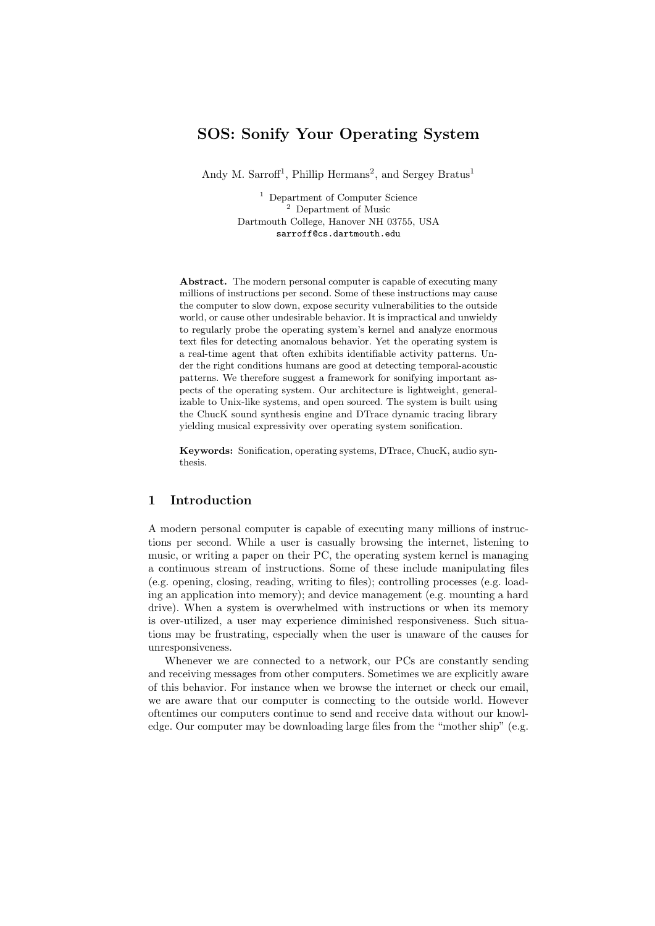# SOS: Sonify Your Operating System

Andy M. Sarroff<sup>1</sup>, Phillip Hermans<sup>2</sup>, and Sergey Bratus<sup>1</sup>

<sup>1</sup> Department of Computer Science <sup>2</sup> Department of Music Dartmouth College, Hanover NH 03755, USA sarroff@cs.dartmouth.edu

Abstract. The modern personal computer is capable of executing many millions of instructions per second. Some of these instructions may cause the computer to slow down, expose security vulnerabilities to the outside world, or cause other undesirable behavior. It is impractical and unwieldy to regularly probe the operating system's kernel and analyze enormous text files for detecting anomalous behavior. Yet the operating system is a real-time agent that often exhibits identifiable activity patterns. Under the right conditions humans are good at detecting temporal-acoustic patterns. We therefore suggest a framework for sonifying important aspects of the operating system. Our architecture is lightweight, generalizable to Unix-like systems, and open sourced. The system is built using the ChucK sound synthesis engine and DTrace dynamic tracing library yielding musical expressivity over operating system sonification.

Keywords: Sonification, operating systems, DTrace, ChucK, audio synthesis.

## 1 Introduction

A modern personal computer is capable of executing many millions of instructions per second. While a user is casually browsing the internet, listening to music, or writing a paper on their PC, the operating system kernel is managing a continuous stream of instructions. Some of these include manipulating files (e.g. opening, closing, reading, writing to files); controlling processes (e.g. loading an application into memory); and device management (e.g. mounting a hard drive). When a system is overwhelmed with instructions or when its memory is over-utilized, a user may experience diminished responsiveness. Such situations may be frustrating, especially when the user is unaware of the causes for unresponsiveness.

Whenever we are connected to a network, our PCs are constantly sending and receiving messages from other computers. Sometimes we are explicitly aware of this behavior. For instance when we browse the internet or check our email, we are aware that our computer is connecting to the outside world. However oftentimes our computers continue to send and receive data without our knowledge. Our computer may be downloading large files from the "mother ship" (e.g.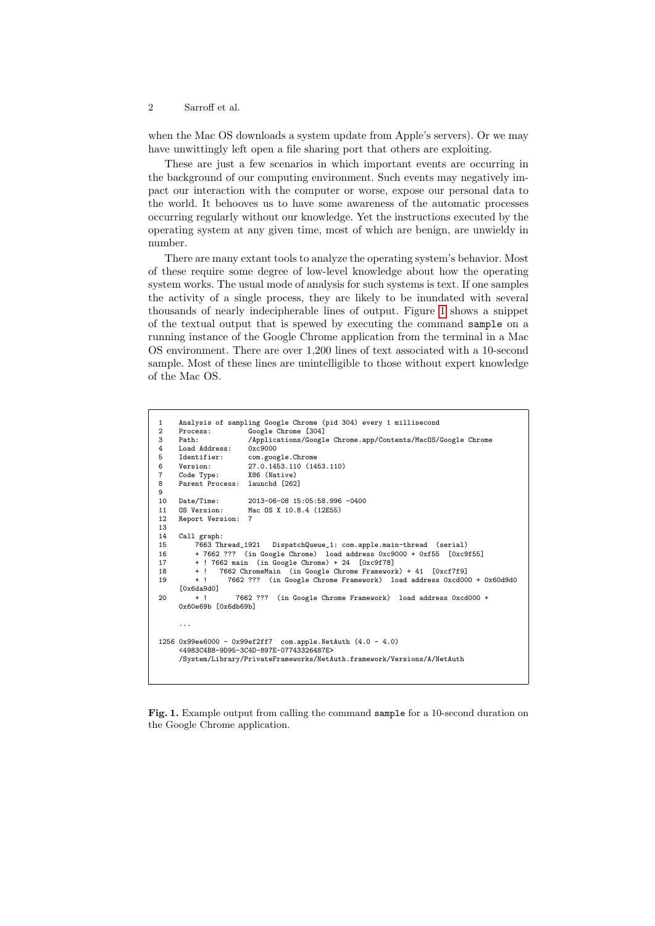#### 2 Sarroff et al.

when the Mac OS downloads a system update from Apple's servers). Or we may have unwittingly left open a file sharing port that others are exploiting.

These are just a few scenarios in which important events are occurring in the background of our computing environment. Such events may negatively impact our interaction with the computer or worse, expose our personal data to the world. It behooves us to have some awareness of the automatic processes occurring regularly without our knowledge. Yet the instructions executed by the operating system at any given time, most of which are benign, are unwieldy in number.

There are many extant tools to analyze the operating system's behavior. Most of these require some degree of low-level knowledge about how the operating system works. The usual mode of analysis for such systems is text. If one samples the activity of a single process, they are likely to be inundated with several thousands of nearly indecipherable lines of output. Figure [1](#page-1-0) shows a snippet of the textual output that is spewed by executing the command sample on a running instance of the Google Chrome application from the terminal in a Mac OS environment. There are over 1,200 lines of text associated with a 10-second sample. Most of these lines are unintelligible to those without expert knowledge of the Mac OS.

```
1 Analysis of sampling Google Chrome (pid 304) every 1 millisecond<br>2 Process: Coogle Chrome [304]
2 Process: Google Chrome [304]<br>3 Path: /Applications/Google
3 Path: /Applications/Google Chrome.app/Contents/MacOS/Google Chrome
     Load Address:<br>Identifier:
5 Identifier: com.google.Chrome<br>6 Version: 27.0.1453.110 (14
6 Version: 27.0.1453.110 (1453.110)<br>7 Code Type: X86 (Native)
7 Code Type:<br>8 Parent Pro
     Parent Process: launchd [262]
\frac{9}{10}Date/Time: 2013-06-08 15:05:58.996 -0400<br>0S Version: Mac 0S X 10.8.4 (12E55)
11 OS Version: Mac OS X 10.8.4 (12E55)
     Report Version:
13<br>1414 Call graph:<br>15 7663 Th
          15 7663 Thread_1921 DispatchQueue_1: com.apple.main-thread (serial)
16 + 7662 ??? (in Google Chrome) load address 0xc9000 + 0xf55 [0xc9f55]
17 + ! 7662 main (in Google Chrome) + 24 [0xc9f78]
18 + ! 7662 ChromeMain (in Google Chrome Framework) + 41 [0xcf7f9]
                    19 + ! 7662 ??? (in Google Chrome Framework) load address 0xcd000 + 0x60d9d0
      [0x6da9d0]
20 + ! 7662 ??? (in Google Chrome Framework) load address 0xcd000 +
      0x60e69b [0x6db69b]
1256 0x99ee6000 - 0x99ef2ff7 com.apple.NetAuth (4.0 - 4.0)
      <4983C4B8-9D95-3C4D-897E-07743326487E>
      /System/Library/PrivateFrameworks/NetAuth.framework/Versions/A/NetAuth
```
<span id="page-1-0"></span>Fig. 1. Example output from calling the command sample for a 10-second duration on the Google Chrome application.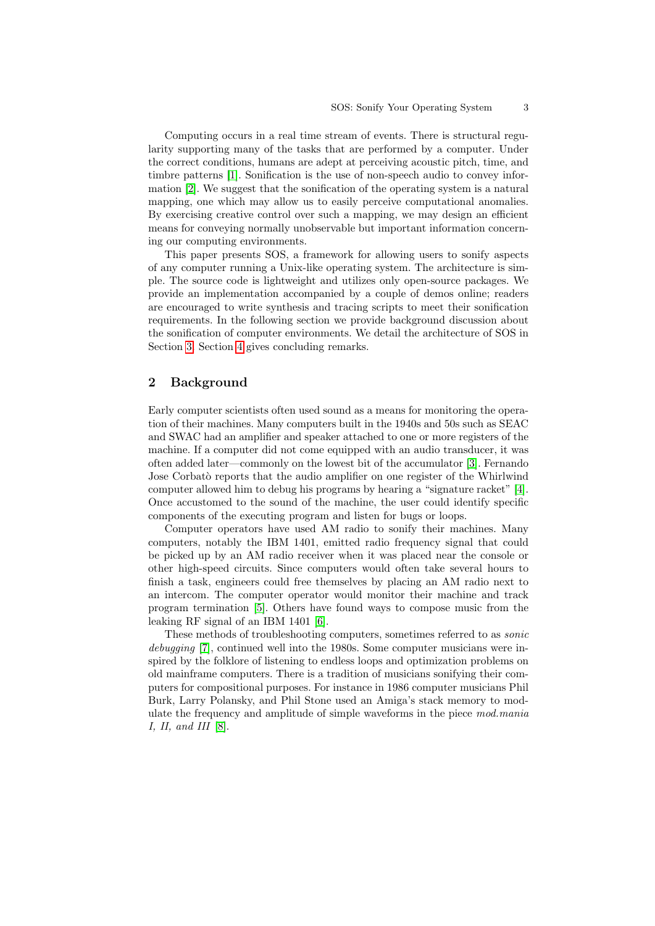Computing occurs in a real time stream of events. There is structural regularity supporting many of the tasks that are performed by a computer. Under the correct conditions, humans are adept at perceiving acoustic pitch, time, and timbre patterns [\[1\]](#page-6-0). Sonification is the use of non-speech audio to convey information [\[2\]](#page-7-0). We suggest that the sonification of the operating system is a natural mapping, one which may allow us to easily perceive computational anomalies. By exercising creative control over such a mapping, we may design an efficient means for conveying normally unobservable but important information concerning our computing environments.

This paper presents SOS, a framework for allowing users to sonify aspects of any computer running a Unix-like operating system. The architecture is simple. The source code is lightweight and utilizes only open-source packages. We provide an implementation accompanied by a couple of demos online; readers are encouraged to write synthesis and tracing scripts to meet their sonification requirements. In the following section we provide background discussion about the sonification of computer environments. We detail the architecture of SOS in Section [3.](#page-3-0) Section [4](#page-6-1) gives concluding remarks.

## 2 Background

Early computer scientists often used sound as a means for monitoring the operation of their machines. Many computers built in the 1940s and 50s such as SEAC and SWAC had an amplifier and speaker attached to one or more registers of the machine. If a computer did not come equipped with an audio transducer, it was often added later—commonly on the lowest bit of the accumulator [\[3\]](#page-7-1). Fernando Jose Corbatò reports that the audio amplifier on one register of the Whirlwind computer allowed him to debug his programs by hearing a "signature racket" [\[4\]](#page-7-2). Once accustomed to the sound of the machine, the user could identify specific components of the executing program and listen for bugs or loops.

Computer operators have used AM radio to sonify their machines. Many computers, notably the IBM 1401, emitted radio frequency signal that could be picked up by an AM radio receiver when it was placed near the console or other high-speed circuits. Since computers would often take several hours to finish a task, engineers could free themselves by placing an AM radio next to an intercom. The computer operator would monitor their machine and track program termination [\[5\]](#page-7-3). Others have found ways to compose music from the leaking RF signal of an IBM 1401 [\[6\]](#page-7-4).

These methods of troubleshooting computers, sometimes referred to as sonic debugging [\[7\]](#page-7-5), continued well into the 1980s. Some computer musicians were inspired by the folklore of listening to endless loops and optimization problems on old mainframe computers. There is a tradition of musicians sonifying their computers for compositional purposes. For instance in 1986 computer musicians Phil Burk, Larry Polansky, and Phil Stone used an Amiga's stack memory to modulate the frequency and amplitude of simple waveforms in the piece mod.mania  $I, II, and III [8].$  $I, II, and III [8].$  $I, II, and III [8].$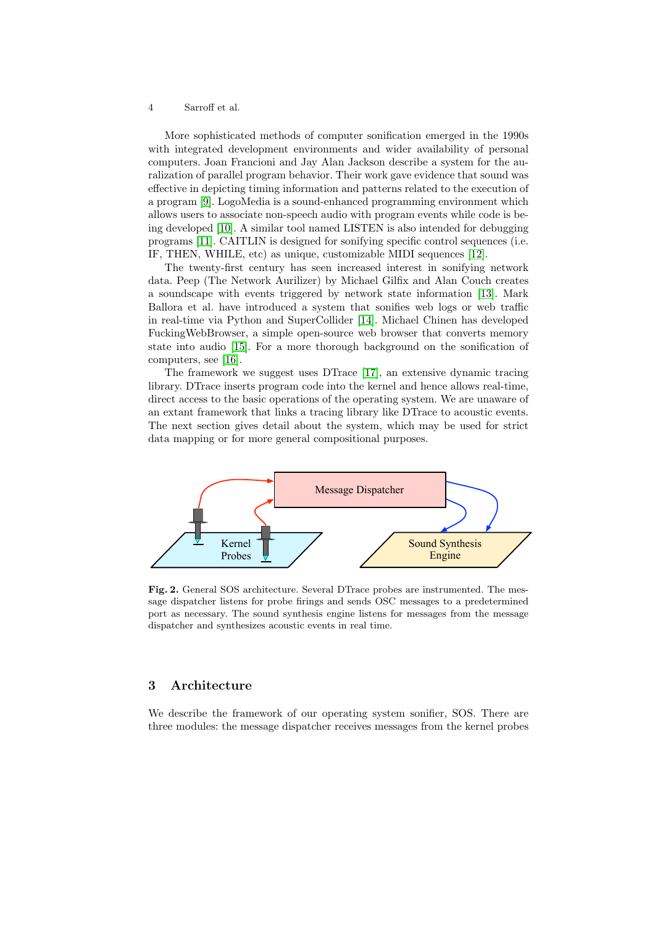#### 4 Sarroff et al.

More sophisticated methods of computer sonification emerged in the 1990s with integrated development environments and wider availability of personal computers. Joan Francioni and Jay Alan Jackson describe a system for the auralization of parallel program behavior. Their work gave evidence that sound was effective in depicting timing information and patterns related to the execution of a program [\[9\]](#page-7-7). LogoMedia is a sound-enhanced programming environment which allows users to associate non-speech audio with program events while code is being developed [\[10\]](#page-7-8). A similar tool named LISTEN is also intended for debugging programs [\[11\]](#page-7-9). CAITLIN is designed for sonifying specific control sequences (i.e. IF, THEN, WHILE, etc) as unique, customizable MIDI sequences [\[12\]](#page-7-10).

The twenty-first century has seen increased interest in sonifying network data. Peep (The Network Aurilizer) by Michael Gilfix and Alan Couch creates a soundscape with events triggered by network state information [\[13\]](#page-7-11). Mark Ballora et al. have introduced a system that sonifies web logs or web traffic in real-time via Python and SuperCollider [\[14\]](#page-7-12). Michael Chinen has developed FuckingWebBrowser, a simple open-source web browser that converts memory state into audio [\[15\]](#page-7-13). For a more thorough background on the sonification of computers, see [\[16\]](#page-7-14).

The framework we suggest uses DTrace [\[17\]](#page-7-15), an extensive dynamic tracing library. DTrace inserts program code into the kernel and hence allows real-time, direct access to the basic operations of the operating system. We are unaware of an extant framework that links a tracing library like DTrace to acoustic events. The next section gives detail about the system, which may be used for strict data mapping or for more general compositional purposes.



<span id="page-3-1"></span>Fig. 2. General SOS architecture. Several DTrace probes are instrumented. The message dispatcher listens for probe firings and sends OSC messages to a predetermined port as necessary. The sound synthesis engine listens for messages from the message dispatcher and synthesizes acoustic events in real time.

## <span id="page-3-0"></span>3 Architecture

We describe the framework of our operating system sonifier, SOS. There are three modules: the message dispatcher receives messages from the kernel probes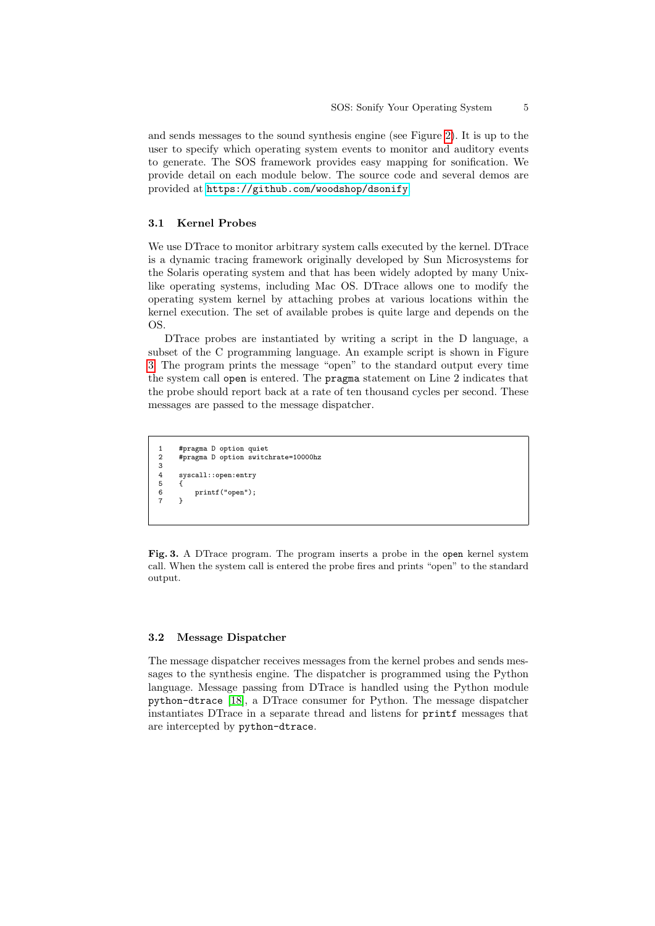and sends messages to the sound synthesis engine (see Figure [2\)](#page-3-1). It is up to the user to specify which operating system events to monitor and auditory events to generate. The SOS framework provides easy mapping for sonification. We provide detail on each module below. The source code and several demos are provided at <https://github.com/woodshop/dsonify>.

## 3.1 Kernel Probes

We use DTrace to monitor arbitrary system calls executed by the kernel. DTrace is a dynamic tracing framework originally developed by Sun Microsystems for the Solaris operating system and that has been widely adopted by many Unixlike operating systems, including Mac OS. DTrace allows one to modify the operating system kernel by attaching probes at various locations within the kernel execution. The set of available probes is quite large and depends on the OS.

DTrace probes are instantiated by writing a script in the D language, a subset of the C programming language. An example script is shown in Figure [3.](#page-4-0) The program prints the message "open" to the standard output every time the system call open is entered. The pragma statement on Line 2 indicates that the probe should report back at a rate of ten thousand cycles per second. These messages are passed to the message dispatcher.

```
1 #pragma D option quiet
        #pragma D option switchrate=10000hz
\begin{array}{c} 2 \\ 3 \\ 4 \end{array}syscall::open:entry
5 {
6 printf("open");<br>
\begin{bmatrix} 7 & 1 \end{bmatrix}7 }
```
<span id="page-4-0"></span>Fig. 3. A DTrace program. The program inserts a probe in the open kernel system call. When the system call is entered the probe fires and prints "open" to the standard output.

#### 3.2 Message Dispatcher

The message dispatcher receives messages from the kernel probes and sends messages to the synthesis engine. The dispatcher is programmed using the Python language. Message passing from DTrace is handled using the Python module python-dtrace [\[18\]](#page-7-16), a DTrace consumer for Python. The message dispatcher instantiates DTrace in a separate thread and listens for printf messages that are intercepted by python-dtrace.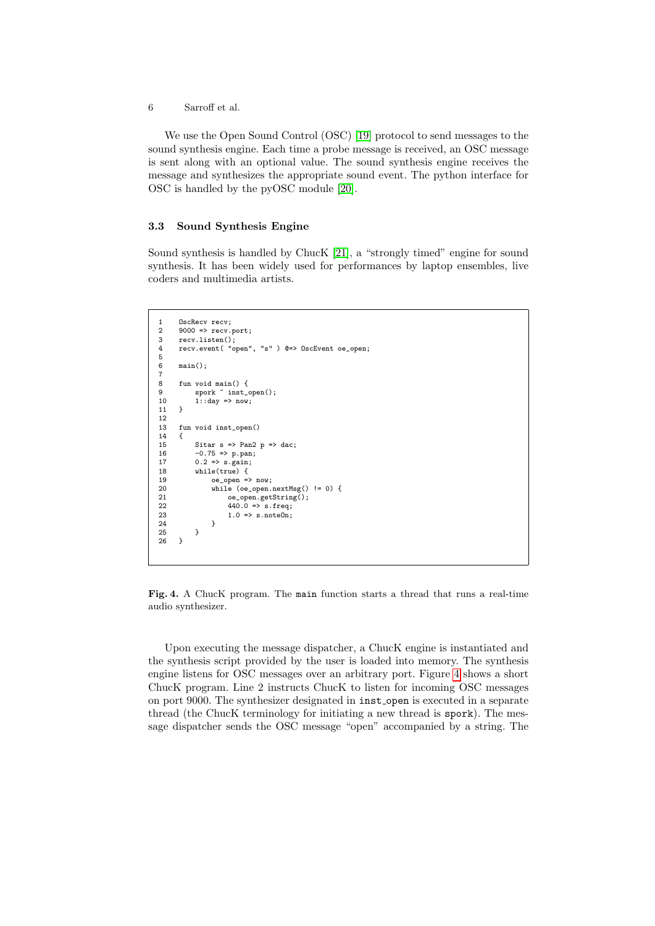6 Sarroff et al.

We use the Open Sound Control (OSC) [\[19\]](#page-7-17) protocol to send messages to the sound synthesis engine. Each time a probe message is received, an OSC message is sent along with an optional value. The sound synthesis engine receives the message and synthesizes the appropriate sound event. The python interface for OSC is handled by the pyOSC module [\[20\]](#page-7-18).

#### 3.3 Sound Synthesis Engine

Sound synthesis is handled by ChucK [\[21\]](#page-7-19), a "strongly timed" engine for sound synthesis. It has been widely used for performances by laptop ensembles, live coders and multimedia artists.

```
1 OscRecv recv;<br>2 9000 => recv.
2 9000 => recv.port;<br>3 recv.listen();
3 recv.listen();<br>4 recv.event("o
         recv.event( "open", "s" ) @=> OscEvent oe_open;
5
        main():
\begin{array}{c} 6 \\ 7 \\ 8 \end{array}8 fun void main() {<br>9 spork "inst_
9 spork \tilde{\text{inst}}_0 spork \text{inst}_1 ();<br>10 1: day => now;
        1:day \Rightarrow now;11 }
\frac{12}{13}fun void inst_open()
\begin{array}{cc} 14 & \{ \\ 15 & \end{array}15 Sitar s => Pan2 p => dac;<br>16 -0.75 => p.pan;
16 -0.75 \Rightarrow p.pan;<br>17 0.2 \Rightarrow s.gain;17 0.2 \Rightarrow s \cdot \text{gain};<br>18 \text{while}(\text{true}) f
                while(true) {
19 oe_open => now;
20 while (oe_open.nextMsg() != 0) {<br>21 0e_open.getString();
21 oe\_open.getString();<br>22 440.0 \Rightarrow s.freq;
22 440.0 \Rightarrow s.freq;<br>23 1.0 \Rightarrow s.netelm:
                       1.0 \Rightarrow s.noteOn;
\begin{array}{cc} 24 & & \\ 25 & & \end{array}25<br>26 }
26 }
```
<span id="page-5-0"></span>Fig. 4. A ChucK program. The main function starts a thread that runs a real-time audio synthesizer.

Upon executing the message dispatcher, a ChucK engine is instantiated and the synthesis script provided by the user is loaded into memory. The synthesis engine listens for OSC messages over an arbitrary port. Figure [4](#page-5-0) shows a short ChucK program. Line 2 instructs ChucK to listen for incoming OSC messages on port 9000. The synthesizer designated in inst<sub>-open</sub> is executed in a separate thread (the ChucK terminology for initiating a new thread is spork). The message dispatcher sends the OSC message "open" accompanied by a string. The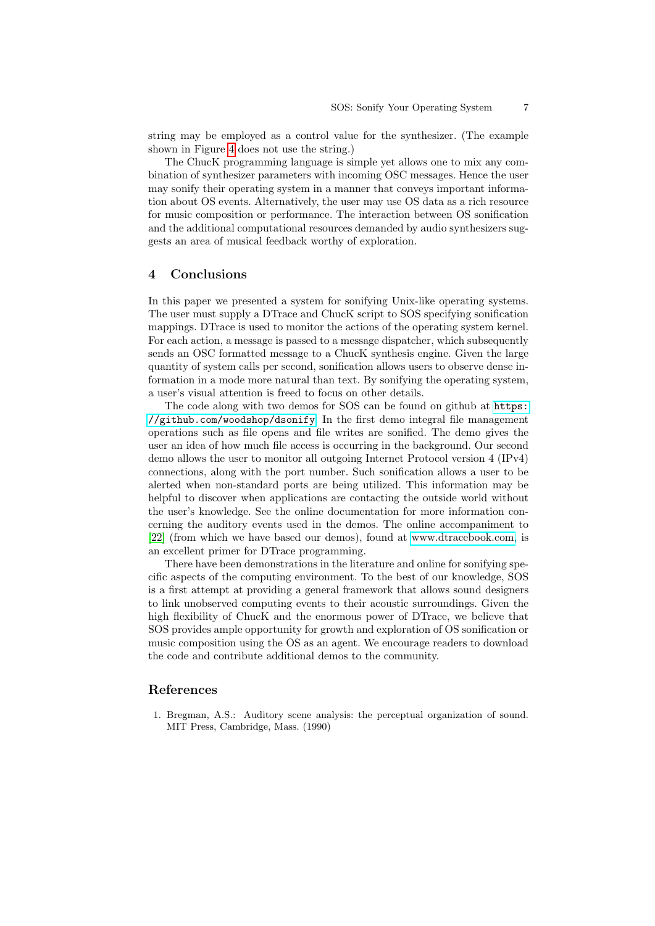string may be employed as a control value for the synthesizer. (The example shown in Figure [4](#page-5-0) does not use the string.)

The ChucK programming language is simple yet allows one to mix any combination of synthesizer parameters with incoming OSC messages. Hence the user may sonify their operating system in a manner that conveys important information about OS events. Alternatively, the user may use OS data as a rich resource for music composition or performance. The interaction between OS sonification and the additional computational resources demanded by audio synthesizers suggests an area of musical feedback worthy of exploration.

#### <span id="page-6-1"></span>4 Conclusions

In this paper we presented a system for sonifying Unix-like operating systems. The user must supply a DTrace and ChucK script to SOS specifying sonification mappings. DTrace is used to monitor the actions of the operating system kernel. For each action, a message is passed to a message dispatcher, which subsequently sends an OSC formatted message to a ChucK synthesis engine. Given the large quantity of system calls per second, sonification allows users to observe dense information in a mode more natural than text. By sonifying the operating system, a user's visual attention is freed to focus on other details.

The code along with two demos for SOS can be found on github at [https:](https://github.com/woodshop/dsonify) [//github.com/woodshop/dsonify](https://github.com/woodshop/dsonify). In the first demo integral file management operations such as file opens and file writes are sonified. The demo gives the user an idea of how much file access is occurring in the background. Our second demo allows the user to monitor all outgoing Internet Protocol version 4 (IPv4) connections, along with the port number. Such sonification allows a user to be alerted when non-standard ports are being utilized. This information may be helpful to discover when applications are contacting the outside world without the user's knowledge. See the online documentation for more information concerning the auditory events used in the demos. The online accompaniment to [\[22\]](#page-7-20) (from which we have based our demos), found at [www.dtracebook.com,](www.dtracebook.com) is an excellent primer for DTrace programming.

There have been demonstrations in the literature and online for sonifying specific aspects of the computing environment. To the best of our knowledge, SOS is a first attempt at providing a general framework that allows sound designers to link unobserved computing events to their acoustic surroundings. Given the high flexibility of ChucK and the enormous power of DTrace, we believe that SOS provides ample opportunity for growth and exploration of OS sonification or music composition using the OS as an agent. We encourage readers to download the code and contribute additional demos to the community.

## References

<span id="page-6-0"></span>1. Bregman, A.S.: Auditory scene analysis: the perceptual organization of sound. MIT Press, Cambridge, Mass. (1990)